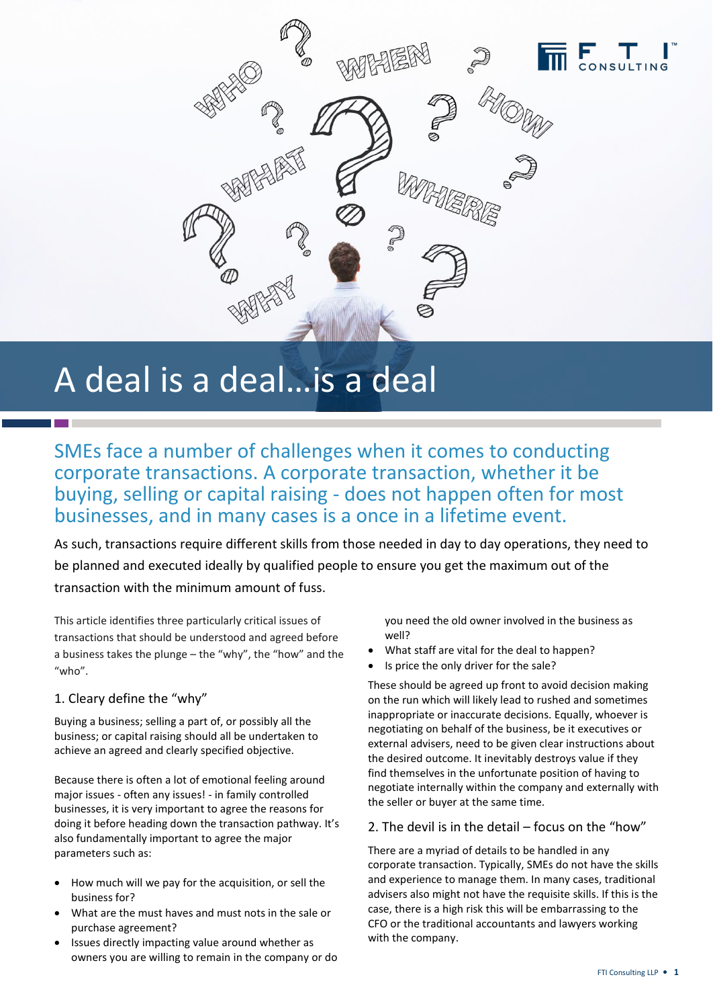

# A deal is a deal…is a deal

SMEs face a number of challenges when it comes to conducting corporate transactions. A corporate transaction, whether it be buying, selling or capital raising - does not happen often for most businesses, and in many cases is a once in a lifetime event.

As such, transactions require different skills from those needed in day to day operations, they need to be planned and executed ideally by qualified people to ensure you get the maximum out of the transaction with the minimum amount of fuss.

This article identifies three particularly critical issues of transactions that should be understood and agreed before a business takes the plunge – the "why", the "how" and the "who".

## 1. Cleary define the "why"

Buying a business; selling a part of, or possibly all the business; or capital raising should all be undertaken to achieve an agreed and clearly specified objective.

Because there is often a lot of emotional feeling around major issues - often any issues! - in family controlled businesses, it is very important to agree the reasons for doing it before heading down the transaction pathway. It's also fundamentally important to agree the major parameters such as:

- How much will we pay for the acquisition, or sell the business for?
- What are the must haves and must nots in the sale or purchase agreement?
- Issues directly impacting value around whether as owners you are willing to remain in the company or do

you need the old owner involved in the business as well?

- What staff are vital for the deal to happen?
- Is price the only driver for the sale?

These should be agreed up front to avoid decision making on the run which will likely lead to rushed and sometimes inappropriate or inaccurate decisions. Equally, whoever is negotiating on behalf of the business, be it executives or external advisers, need to be given clear instructions about the desired outcome. It inevitably destroys value if they find themselves in the unfortunate position of having to negotiate internally within the company and externally with the seller or buyer at the same time.

### 2. The devil is in the detail – focus on the "how"

There are a myriad of details to be handled in any corporate transaction. Typically, SMEs do not have the skills and experience to manage them. In many cases, traditional advisers also might not have the requisite skills. If this is the case, there is a high risk this will be embarrassing to the CFO or the traditional accountants and lawyers working with the company.